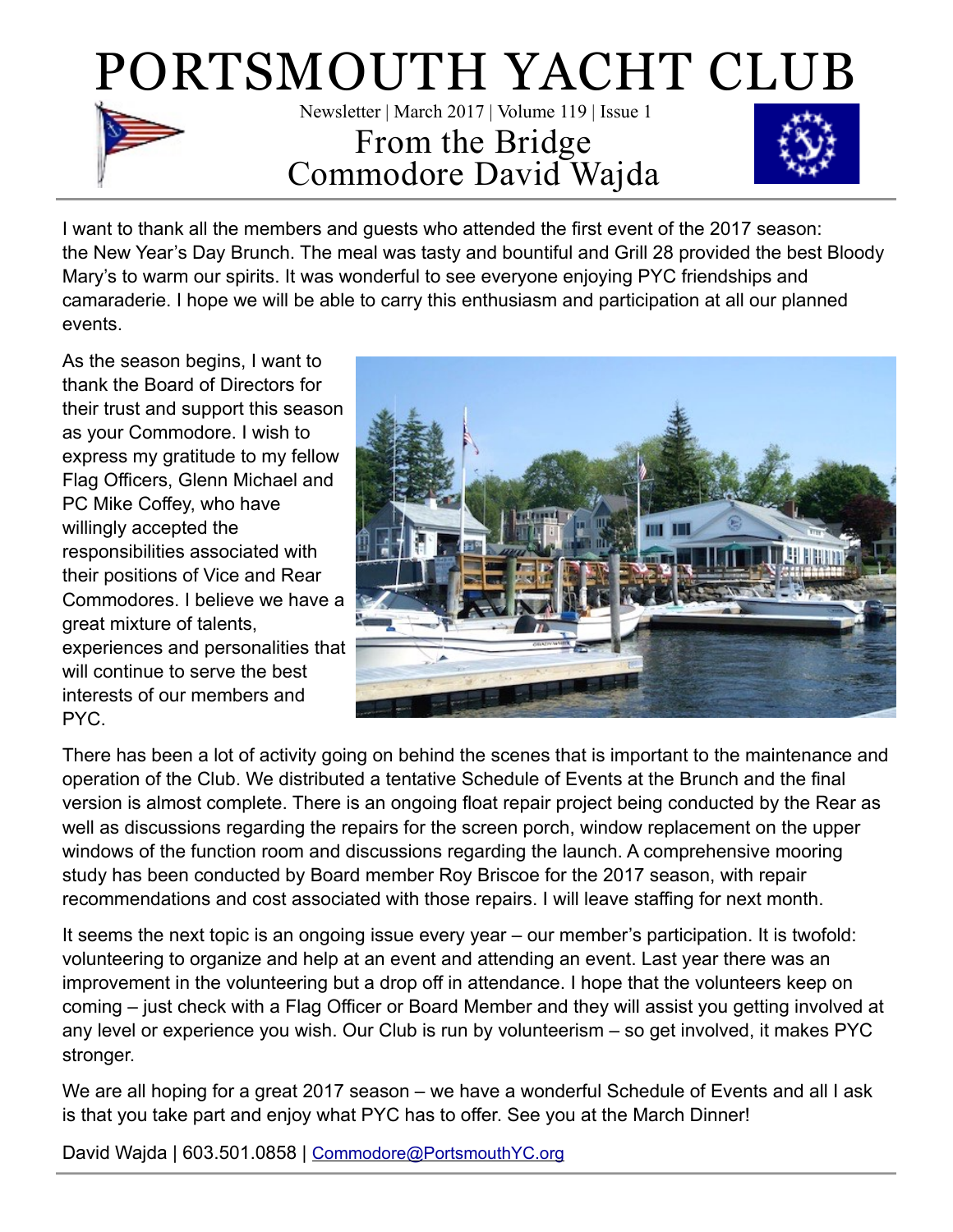

I want to thank all the members and guests who attended the first event of the 2017 season: the New Year's Day Brunch. The meal was tasty and bountiful and Grill 28 provided the best Bloody Mary's to warm our spirits. It was wonderful to see everyone enjoying PYC friendships and camaraderie. I hope we will be able to carry this enthusiasm and participation at all our planned events.

As the season begins, I want to thank the Board of Directors for their trust and support this season as your Commodore. I wish to express my gratitude to my fellow Flag Officers, Glenn Michael and PC Mike Coffey, who have willingly accepted the responsibilities associated with their positions of Vice and Rear Commodores. I believe we have a great mixture of talents, experiences and personalities that will continue to serve the best interests of our members and PYC.



There has been a lot of activity going on behind the scenes that is important to the maintenance and operation of the Club. We distributed a tentative Schedule of Events at the Brunch and the final version is almost complete. There is an ongoing float repair project being conducted by the Rear as well as discussions regarding the repairs for the screen porch, window replacement on the upper windows of the function room and discussions regarding the launch. A comprehensive mooring study has been conducted by Board member Roy Briscoe for the 2017 season, with repair recommendations and cost associated with those repairs. I will leave staffing for next month.

It seems the next topic is an ongoing issue every year – our member's participation. It is twofold: volunteering to organize and help at an event and attending an event. Last year there was an improvement in the volunteering but a drop off in attendance. I hope that the volunteers keep on coming – just check with a Flag Officer or Board Member and they will assist you getting involved at any level or experience you wish. Our Club is run by volunteerism – so get involved, it makes PYC stronger.

We are all hoping for a great 2017 season – we have a wonderful Schedule of Events and all I ask is that you take part and enjoy what PYC has to offer. See you at the March Dinner!

David Wajda | 603.501.0858 | [Commodore@PortsmouthYC.org](mailto:commodore@PortsmouthYC.org?subject=)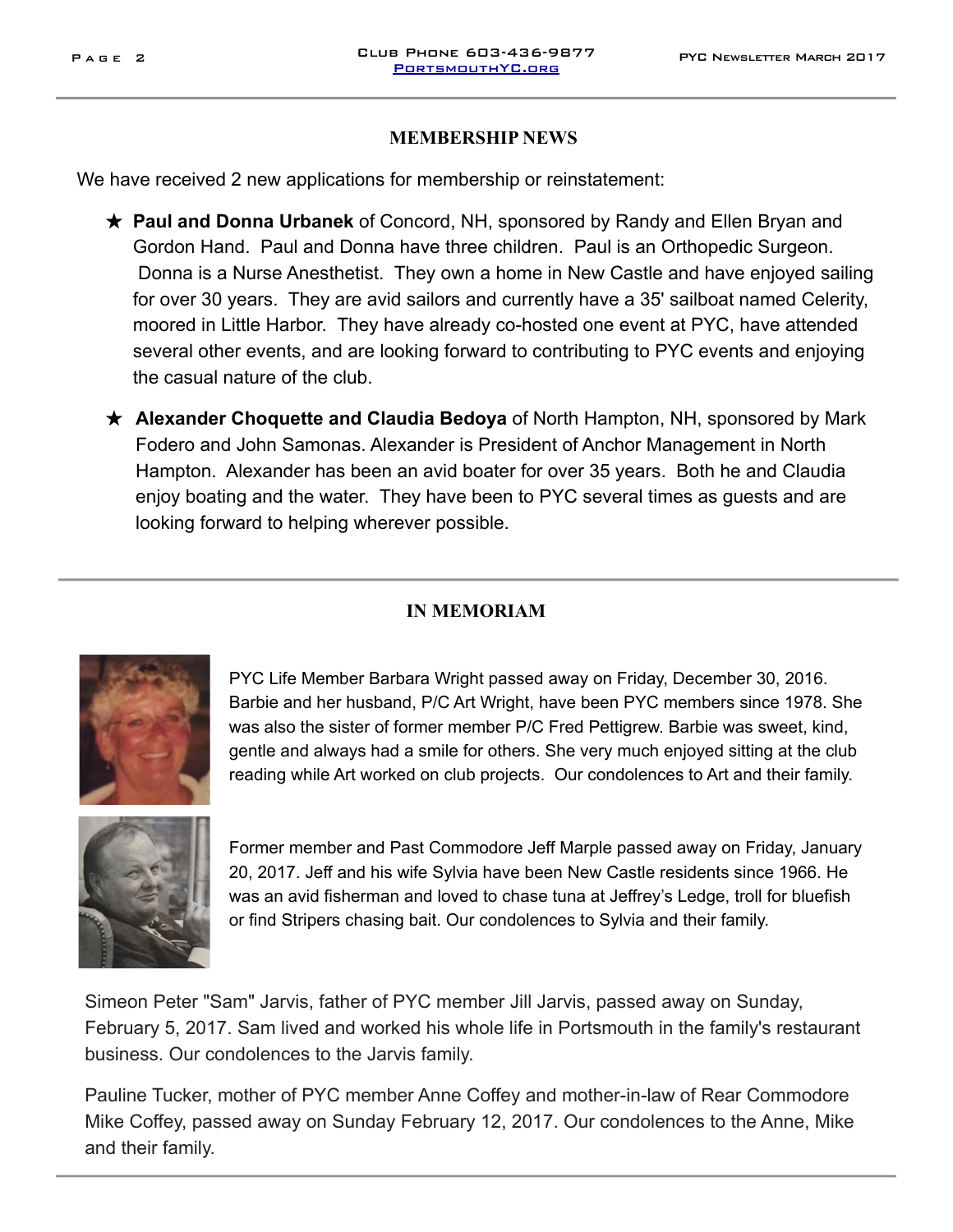#### **MEMBERSHIP NEWS**

We have received 2 new applications for membership or reinstatement:

- ★ **Paul and Donna Urbanek** of Concord, NH, sponsored by Randy and Ellen Bryan and Gordon Hand. Paul and Donna have three children. Paul is an Orthopedic Surgeon. Donna is a Nurse Anesthetist. They own a home in New Castle and have enjoyed sailing for over 30 years. They are avid sailors and currently have a 35' sailboat named Celerity, moored in Little Harbor. They have already co-hosted one event at PYC, have attended several other events, and are looking forward to contributing to PYC events and enjoying the casual nature of the club.
- ★ **Alexander Choquette and Claudia Bedoya** of North Hampton, NH, sponsored by Mark Fodero and John Samonas. Alexander is President of Anchor Management in North Hampton. Alexander has been an avid boater for over 35 years. Both he and Claudia enjoy boating and the water. They have been to PYC several times as guests and are looking forward to helping wherever possible.

#### **IN MEMORIAM**



PYC Life Member Barbara Wright passed away on Friday, December 30, 2016. Barbie and her husband, P/C Art Wright, have been PYC members since 1978. She was also the sister of former member P/C Fred Pettigrew. Barbie was sweet, kind, gentle and always had a smile for others. She very much enjoyed sitting at the club reading while Art worked on club projects. Our condolences to Art and their family.



Former member and Past Commodore Jeff Marple passed away on Friday, January 20, 2017. Jeff and his wife Sylvia have been New Castle residents since 1966. He was an avid fisherman and loved to chase tuna at Jeffrey's Ledge, troll for bluefish or find Stripers chasing bait. Our condolences to Sylvia and their family.

Simeon Peter "Sam" Jarvis, father of PYC member Jill Jarvis, passed away on Sunday, February 5, 2017. Sam lived and worked his whole life in Portsmouth in the family's restaurant business. Our condolences to the Jarvis family.

Pauline Tucker, mother of PYC member Anne Coffey and mother-in-law of Rear Commodore Mike Coffey, passed away on Sunday February 12, 2017. Our condolences to the Anne, Mike and their family.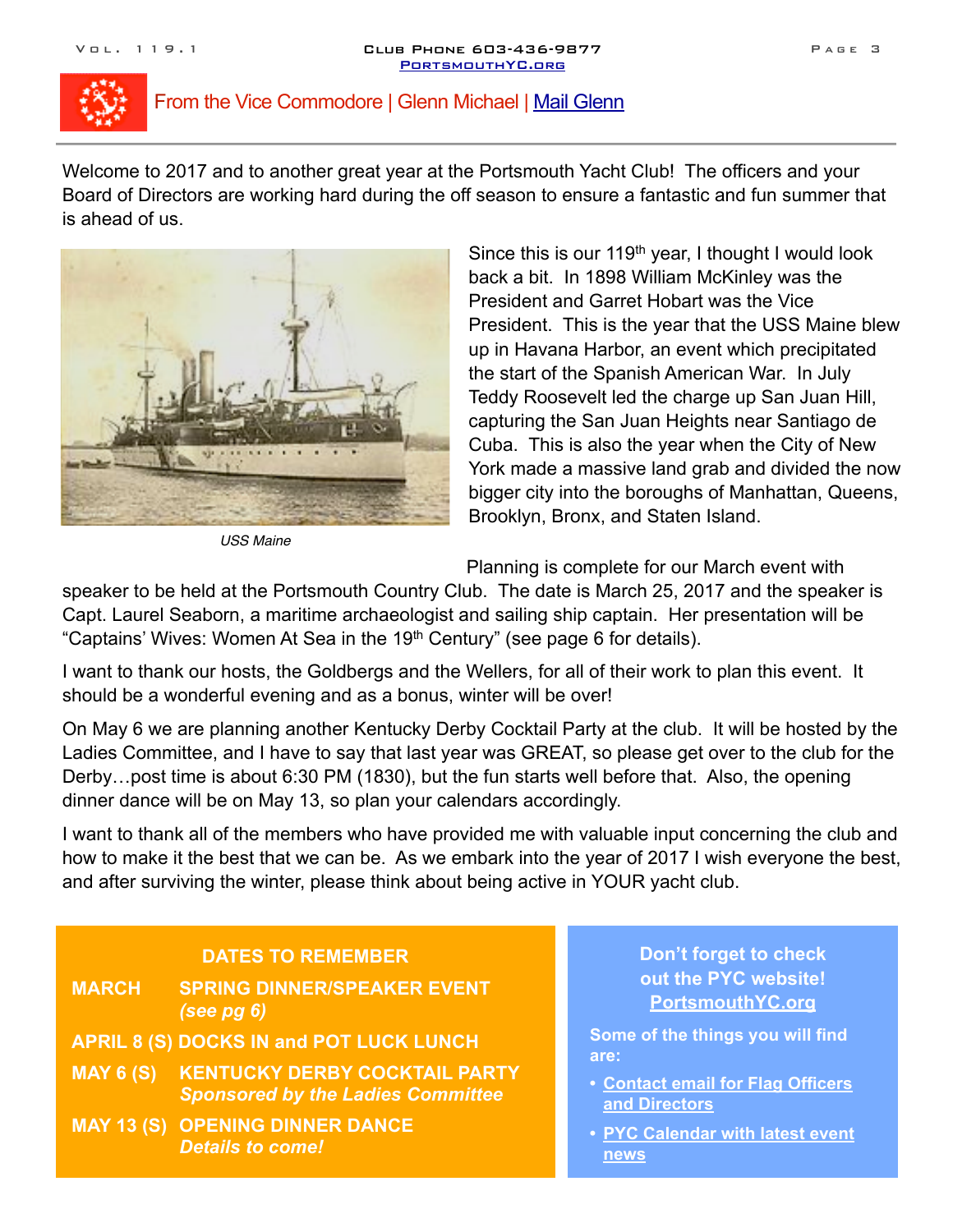

## From the Vice Commodore | Glenn Michael | [Mail Glenn](mailto:ViceCommodore@PortsmouthYC.org?subject=)

Welcome to 2017 and to another great year at the Portsmouth Yacht Club! The officers and your Board of Directors are working hard during the off season to ensure a fantastic and fun summer that is ahead of us.



*USS Maine* 

Since this is our 119<sup>th</sup> year, I thought I would look back a bit. In 1898 William McKinley was the President and Garret Hobart was the Vice President. This is the year that the USS Maine blew up in Havana Harbor, an event which precipitated the start of the Spanish American War. In July Teddy Roosevelt led the charge up San Juan Hill, capturing the San Juan Heights near Santiago de Cuba. This is also the year when the City of New York made a massive land grab and divided the now bigger city into the boroughs of Manhattan, Queens, Brooklyn, Bronx, and Staten Island.

Planning is complete for our March event with

speaker to be held at the Portsmouth Country Club. The date is March 25, 2017 and the speaker is Capt. Laurel Seaborn, a maritime archaeologist and sailing ship captain. Her presentation will be "Captains' Wives: Women At Sea in the 19<sup>th</sup> Century" (see page 6 for details).

I want to thank our hosts, the Goldbergs and the Wellers, for all of their work to plan this event. It should be a wonderful evening and as a bonus, winter will be over!

On May 6 we are planning another Kentucky Derby Cocktail Party at the club. It will be hosted by the Ladies Committee, and I have to say that last year was GREAT, so please get over to the club for the Derby…post time is about 6:30 PM (1830), but the fun starts well before that. Also, the opening dinner dance will be on May 13, so plan your calendars accordingly.

I want to thank all of the members who have provided me with valuable input concerning the club and how to make it the best that we can be. As we embark into the year of 2017 I wish everyone the best, and after surviving the winter, please think about being active in YOUR yacht club.

## **DATES TO REMEMBER**

| <b>MARCH</b>     | <b>SPRING DINNER/SPEAKER EVENT</b><br>(see $pg(6)$                               |
|------------------|----------------------------------------------------------------------------------|
|                  | <b>APRIL 8 (S) DOCKS IN and POT LUCK LUNCH</b>                                   |
| <b>MAY 6 (S)</b> | <b>KENTUCKY DERBY COCKTAIL PARTY</b><br><b>Sponsored by the Ladies Committee</b> |
|                  | <b>MAY 13 (S) OPENING DINNER DANCE</b><br><b>Details to come!</b>                |

## **Don't forget to check out the PYC website! [PortsmouthYC.org](http://PortsmouthYC.org)**

**Some of the things you will find are:** 

- **• [Contact email for Flag Officers](http://portsmouthyc.org/WP/?page_id=1489)  and Directors**
- **• [PYC Calendar with latest event](http://portsmouthyc.org/WP/?page_id=749)  news**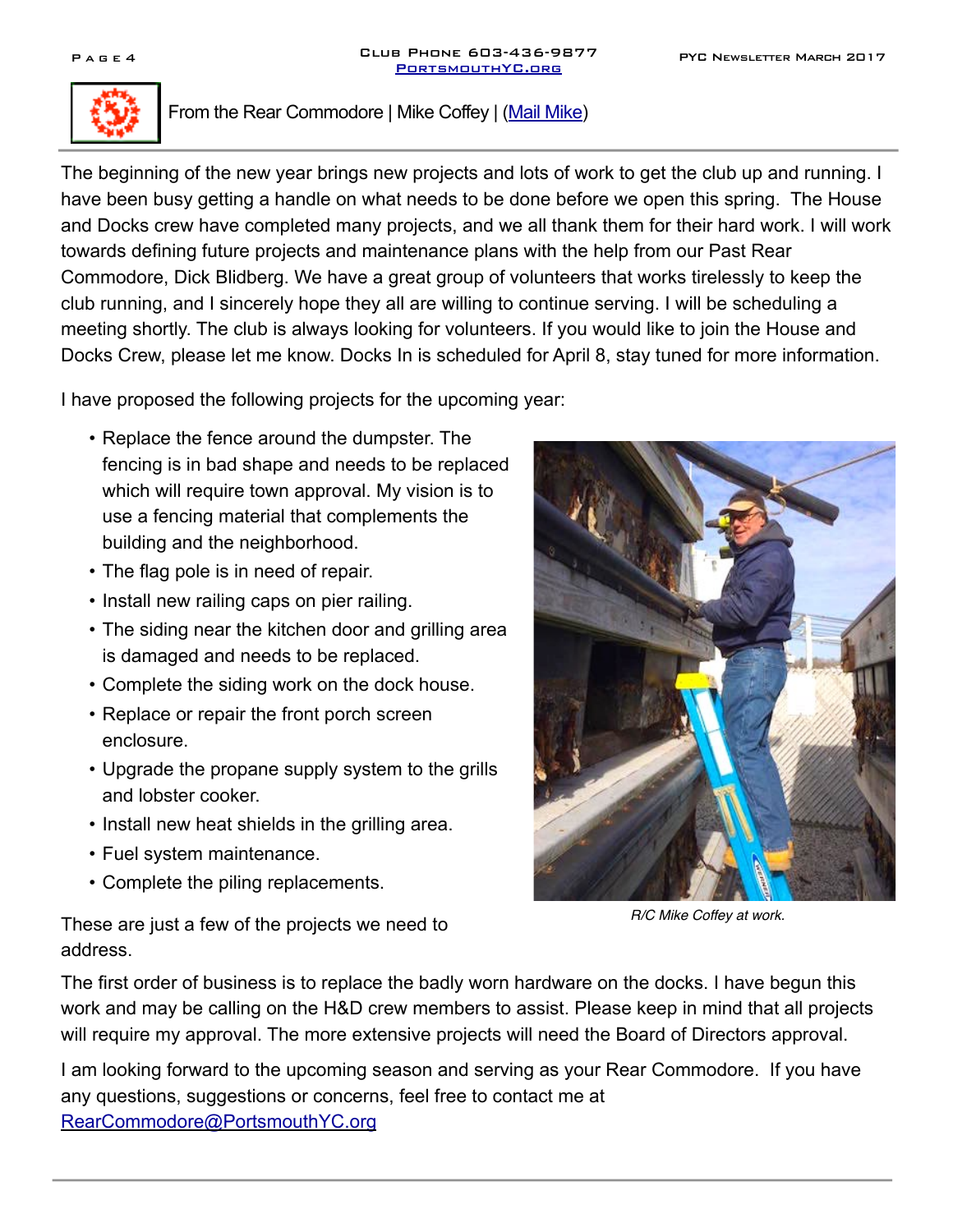

## From the Rear Commodore | Mike Coffey | ([Mail Mike](mailto:RearCommodore@PortsmouthYC.org?subject=))

The beginning of the new year brings new projects and lots of work to get the club up and running. I have been busy getting a handle on what needs to be done before we open this spring. The House and Docks crew have completed many projects, and we all thank them for their hard work. I will work towards defining future projects and maintenance plans with the help from our Past Rear Commodore, Dick Blidberg. We have a great group of volunteers that works tirelessly to keep the club running, and I sincerely hope they all are willing to continue serving. I will be scheduling a meeting shortly. The club is always looking for volunteers. If you would like to join the House and Docks Crew, please let me know. Docks In is scheduled for April 8, stay tuned for more information.

I have proposed the following projects for the upcoming year:

- Replace the fence around the dumpster. The fencing is in bad shape and needs to be replaced which will require town approval. My vision is to use a fencing material that complements the building and the neighborhood.
- The flag pole is in need of repair.
- Install new railing caps on pier railing.
- The siding near the kitchen door and grilling area is damaged and needs to be replaced.
- Complete the siding work on the dock house.
- Replace or repair the front porch screen enclosure.
- Upgrade the propane supply system to the grills and lobster cooker.
- Install new heat shields in the grilling area.
- Fuel system maintenance.
- Complete the piling replacements.



*R/C Mike Coffey at work.*

These are just a few of the projects we need to address.

The first order of business is to replace the badly worn hardware on the docks. I have begun this work and may be calling on the H&D crew members to assist. Please keep in mind that all projects will require my approval. The more extensive projects will need the Board of Directors approval.

I am looking forward to the upcoming season and serving as your Rear Commodore. If you have any questions, suggestions or concerns, feel free to contact me at [RearCommodore@PortsmouthYC.org](mailto:RearCommodore@PortsmouthYC.org?subject=)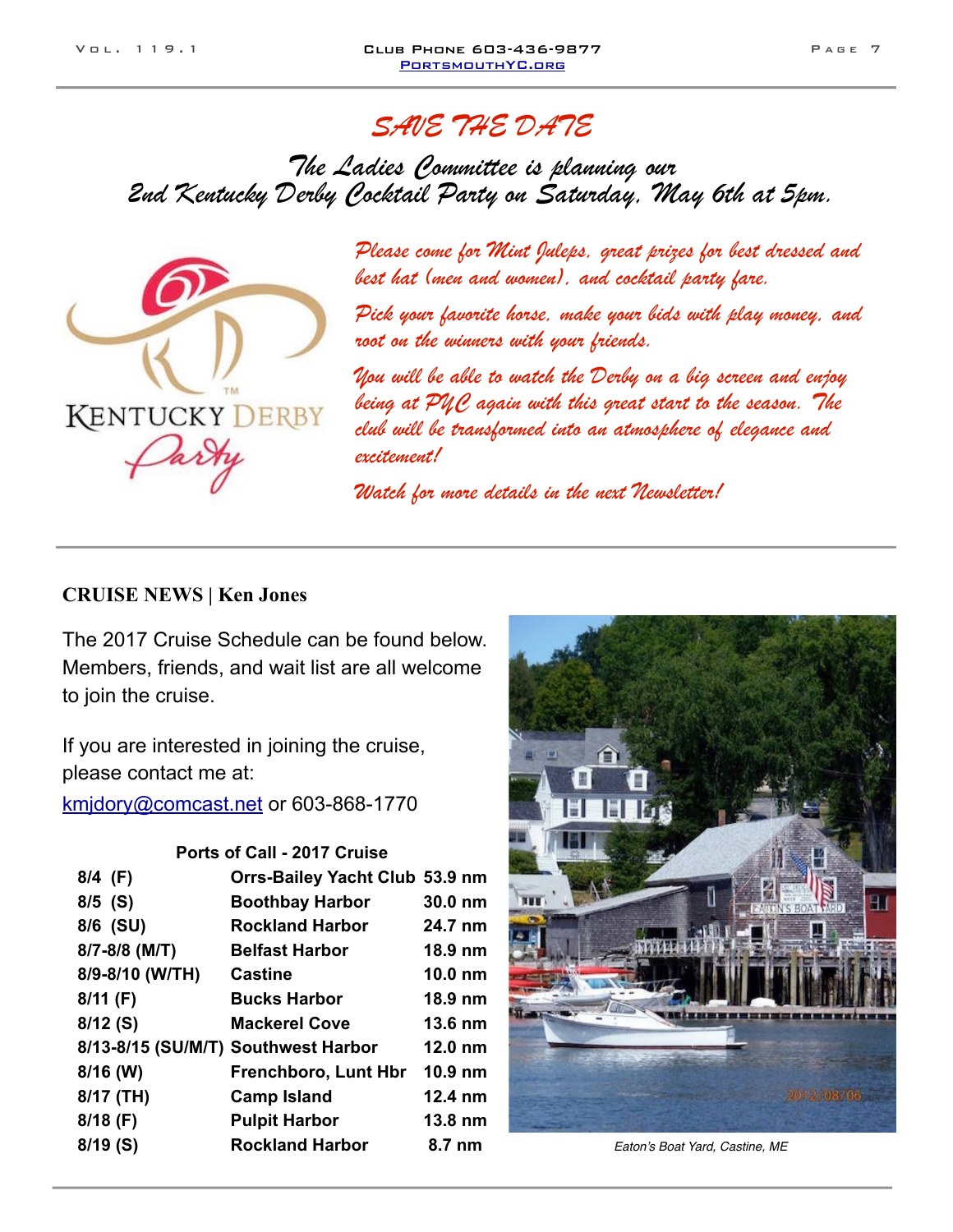# SAVE THE DATE

The Ladies Committee is planning our 2nd Kentucky Derby Cocktail Party on Saturday, May 6th at 5pm.



Please come for Mint Juleps, great prizes for best dressed and best hat (men and women), and cocktail party fare.

Pick your favorite horse, make your bids with play money, and root on the winners with your friends.

You will be able to watch the Derby on a big screen and enjoy being at PYC again with this great start to the season. The club will be transformed into an atmosphere of elegance and excitement!

Watch for more details in the next Newsletter!

#### **CRUISE NEWS | Ken Jones**

The 2017 Cruise Schedule can be found below. Members, friends, and wait list are all welcome to join the cruise.

If you are interested in joining the cruise, please contact me at:

[kmjdory@comcast.net](mailto:kmjdory@comcast.net) or 603-868-1770

#### **Ports of Call - 2017 Cruise**

| 8/4 (F)         | Orrs-Bailey Yacht Club 53.9 nm      |                   |
|-----------------|-------------------------------------|-------------------|
| $8/5$ (S)       | <b>Boothbay Harbor</b>              | 30.0 nm           |
| 8/6 (SU)        | <b>Rockland Harbor</b>              | 24.7 nm           |
| 8/7-8/8 (M/T)   | <b>Belfast Harbor</b>               | 18.9 nm           |
| 8/9-8/10 (W/TH) | <b>Castine</b>                      | $10.0 \text{ nm}$ |
| $8/11$ (F)      | <b>Bucks Harbor</b>                 | 18.9 nm           |
| $8/12$ (S)      | <b>Mackerel Cove</b>                | 13.6 nm           |
|                 | 8/13-8/15 (SU/M/T) Southwest Harbor | $12.0 \text{ nm}$ |
| $8/16$ (W)      | <b>Frenchboro, Lunt Hbr</b>         | $10.9$ nm         |
| 8/17 (TH)       | <b>Camp Island</b>                  | 12.4 nm           |
| $8/18$ (F)      | <b>Pulpit Harbor</b>                | 13.8 nm           |
| $8/19($ S)      | <b>Rockland Harbor</b>              | 8.7 nm            |



 $B$ aton's Boat Yard, Castine, ME